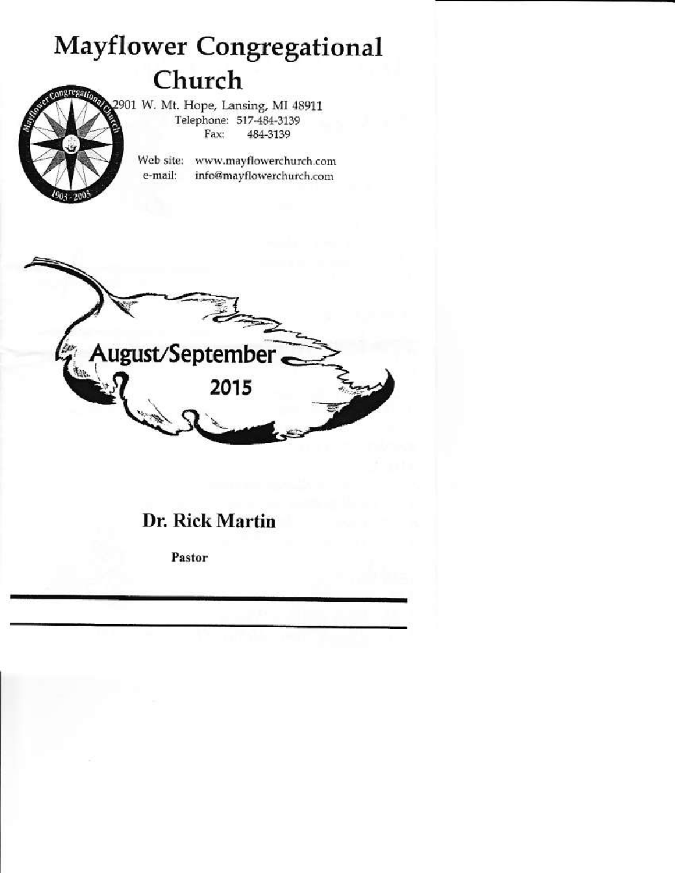# **Mayflower Congregational** Church

2901 W. Mt. Hope, Lansing, MI 48911 Telephone: 517-484-3139 Fax: 484-3139

Web site: www.mayflowerchurch.com e-mail: info@mayflowerchurch.com



# Dr. Rick Martin

Pastor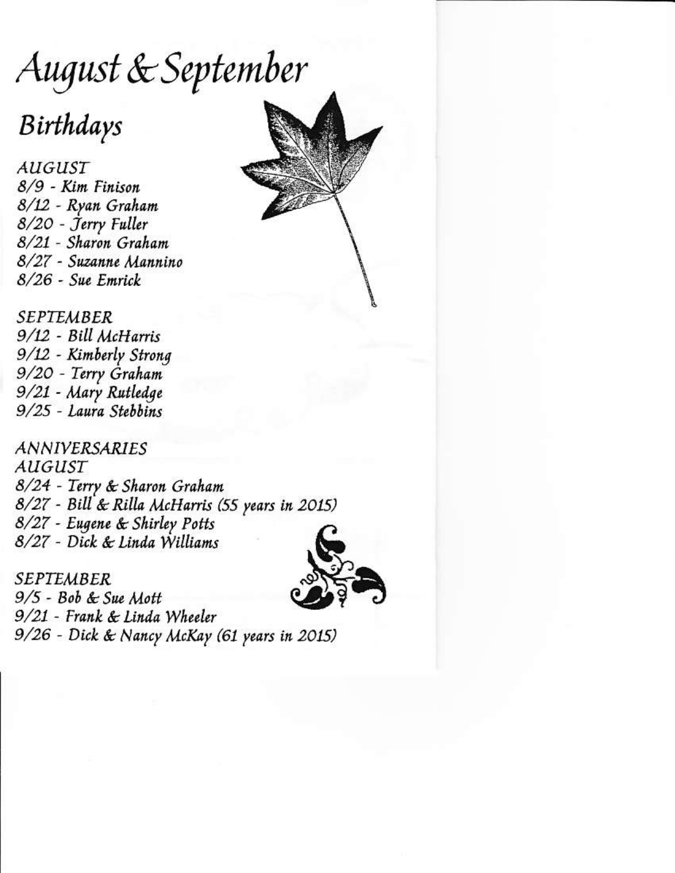August & September

# Birthdays

**AUGUST** 8/9 - Kim Finison 8/12 - Ryan Graham 8/20 - Jerry Fuller 8/21 - Sharon Graham 8/27 - Suzanne Mannino  $8/26$  - Sue Emrick

**SEPTEMBER** 9/12 - Bill McHarris 9/12 - Kimberly Strong 9/20 - Terry Graham 9/21 - Mary Rutledge 9/25 - Laura Stebbins

**ANNIVERSARIES** *AUGUST* 8/24 - Terry & Sharon Graham 8/27 - Bill & Rilla McHarris (55 years in 2015) 8/27 - Eugene & Shirley Potts 8/27 - Dick & Linda Williams



**SEPTEMBER**  $9/5$  - Bob & Sue Mott 9/21 - Frank & Linda Wheeler 9/26 - Dick & Nancy McKay (61 years in 2015)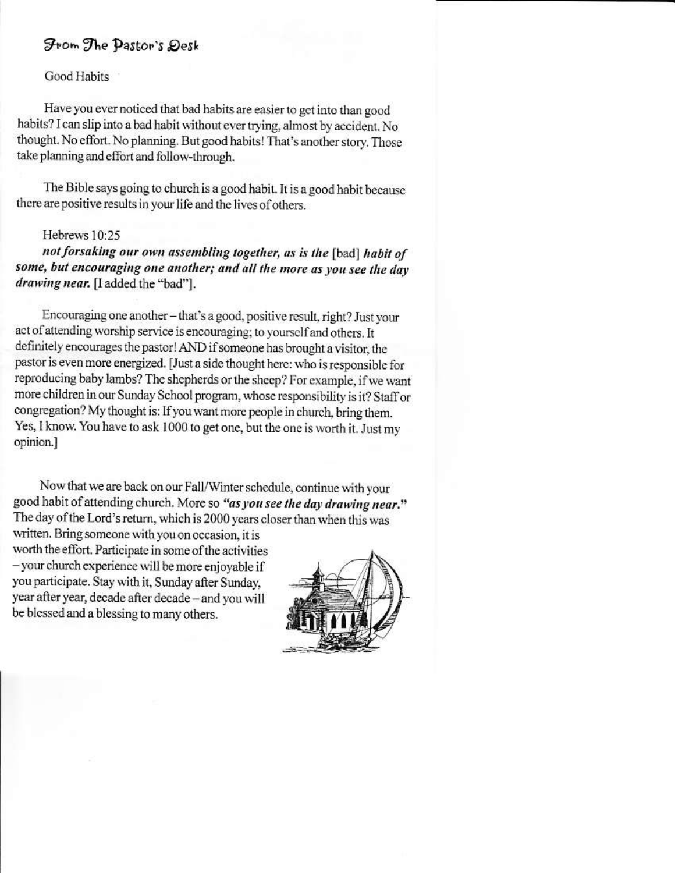## From The Pastor's Desk

**Good Habits** 

Have you ever noticed that bad habits are easier to get into than good habits? I can slip into a bad habit without ever trying, almost by accident. No thought. No effort. No planning. But good habits! That's another story. Those take planning and effort and follow-through.

The Bible says going to church is a good habit. It is a good habit because there are positive results in your life and the lives of others.

### Hebrews 10:25

not forsaking our own assembling together, as is the [bad] habit of some, but encouraging one another; and all the more as you see the day drawing near. [I added the "bad"].

Encouraging one another - that's a good, positive result, right? Just your act of attending worship service is encouraging; to yourself and others. It definitely encourages the pastor! AND if someone has brought a visitor, the pastor is even more energized. [Just a side thought here: who is responsible for reproducing baby lambs? The shepherds or the sheep? For example, if we want more children in our Sunday School program, whose responsibility is it? Staff or congregation? My thought is: If you want more people in church, bring them. Yes, I know. You have to ask 1000 to get one, but the one is worth it. Just my opinion.]

Now that we are back on our Fall/Winter schedule, continue with your good habit of attending church. More so "as you see the day drawing near." The day of the Lord's return, which is 2000 years closer than when this was

written. Bring someone with you on occasion, it is worth the effort. Participate in some of the activities - your church experience will be more enjoyable if you participate. Stay with it, Sunday after Sunday, year after year, decade after decade - and you will be blessed and a blessing to many others.

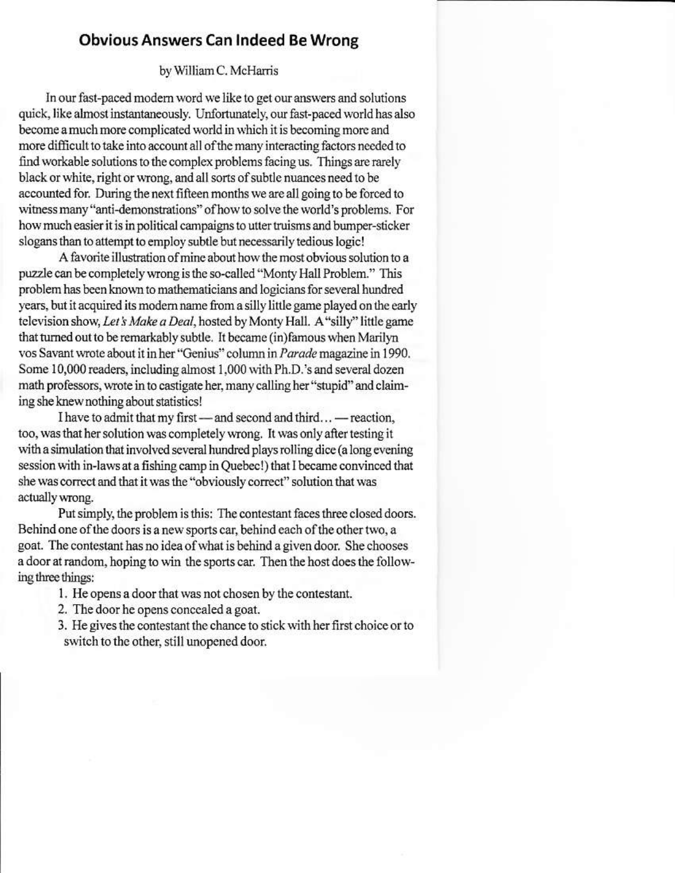# **Obvious Answers Can Indeed Be Wrong**

### by William C. McHarris

In our fast-paced modern word we like to get our answers and solutions quick, like almost instantaneously. Unfortunately, our fast-paced world has also become a much more complicated world in which it is becoming more and more difficult to take into account all of the many interacting factors needed to find workable solutions to the complex problems facing us. Things are rarely black or white, right or wrong, and all sorts of subtle nuances need to be accounted for. During the next fifteen months we are all going to be forced to witness many "anti-demonstrations" of how to solve the world's problems. For how much easier it is in political campaigns to utter truisms and bumper-sticker slogans than to attempt to employ subtle but necessarily tedious logic!

A favorite illustration of mine about how the most obvious solution to a puzzle can be completely wrong is the so-called "Monty Hall Problem." This problem has been known to mathematicians and logicians for several hundred years, but it acquired its modern name from a silly little game played on the early television show, Let's Make a Deal, hosted by Monty Hall. A "silly" little game that turned out to be remarkably subtle. It became (in)famous when Marilyn vos Savant wrote about it in her "Genius" column in Parade magazine in 1990. Some 10,000 readers, including almost 1,000 with Ph.D.'s and several dozen math professors, wrote in to castigate her, many calling her "stupid" and claiming she knew nothing about statistics!

I have to admit that my first — and second and third... — reaction, too, was that her solution was completely wrong. It was only after testing it with a simulation that involved several hundred plays rolling dice (a long evening session with in-laws at a fishing camp in Quebec!) that I became convinced that she was correct and that it was the "obviously correct" solution that was actually wrong.

Put simply, the problem is this: The contestant faces three closed doors. Behind one of the doors is a new sports car, behind each of the other two, a goat. The contestant has no idea of what is behind a given door. She chooses a door at random, hoping to win the sports car. Then the host does the following three things:

- 1. He opens a door that was not chosen by the contestant.
- 2. The door he opens concealed a goat.
- 3. He gives the contestant the chance to stick with her first choice or to switch to the other, still unopened door.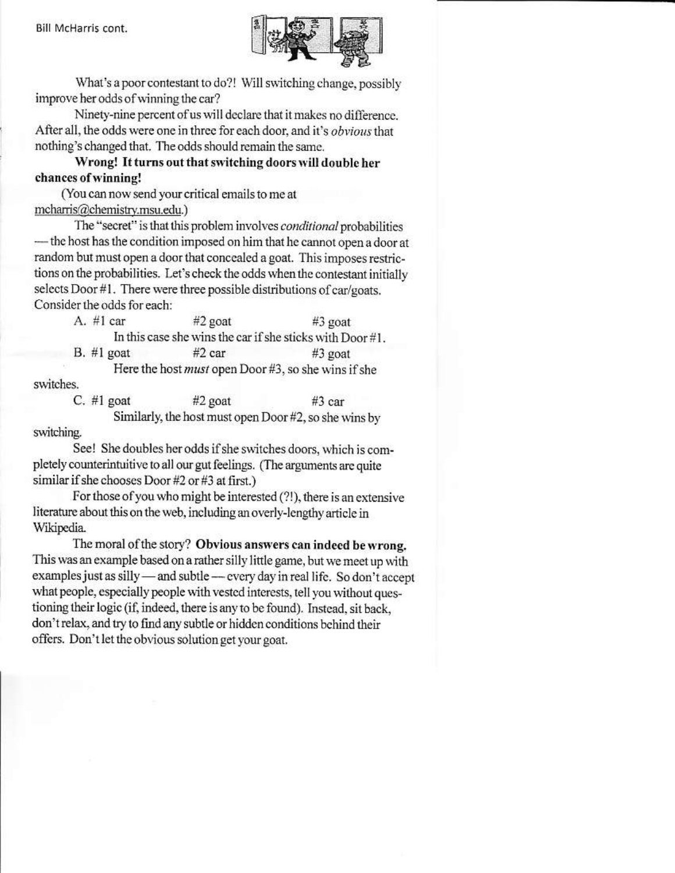

What's a poor contestant to do?! Will switching change, possibly improve her odds of winning the car?

Ninety-nine percent of us will declare that it makes no difference. After all, the odds were one in three for each door, and it's obvious that nothing's changed that. The odds should remain the same.

Wrong! It turns out that switching doors will double her chances of winning!

(You can now send your critical emails to me at mcharris@chemistry.msu.edu.)

The "secret" is that this problem involves conditional probabilities - the host has the condition imposed on him that he cannot open a door at random but must open a door that concealed a goat. This imposes restrictions on the probabilities. Let's check the odds when the contestant initially selects Door #1. There were three possible distributions of car/goats. Consider the odds for each:

A.  $#1$  car #2 goat #3 goat In this case she wins the car if she sticks with Door #1.  $B.$  #1 goat  $#2$  car #3 goat Here the host must open Door #3, so she wins if she switches.

C.  $#1$  goat  $#2$  goat  $#3$  car Similarly, the host must open Door #2, so she wins by switching.

See! She doubles her odds if she switches doors, which is completely counterintuitive to all our gut feelings. (The arguments are quite similar if she chooses Door #2 or #3 at first.)

For those of you who might be interested (?!), there is an extensive literature about this on the web, including an overly-lengthy article in Wikipedia.

The moral of the story? Obvious answers can indeed be wrong. This was an example based on a rather silly little game, but we meet up with examples just as silly - and subtle - every day in real life. So don't accept what people, especially people with vested interests, tell you without questioning their logic (if, indeed, there is any to be found). Instead, sit back, don't relax, and try to find any subtle or hidden conditions behind their offers. Don't let the obvious solution get your goat.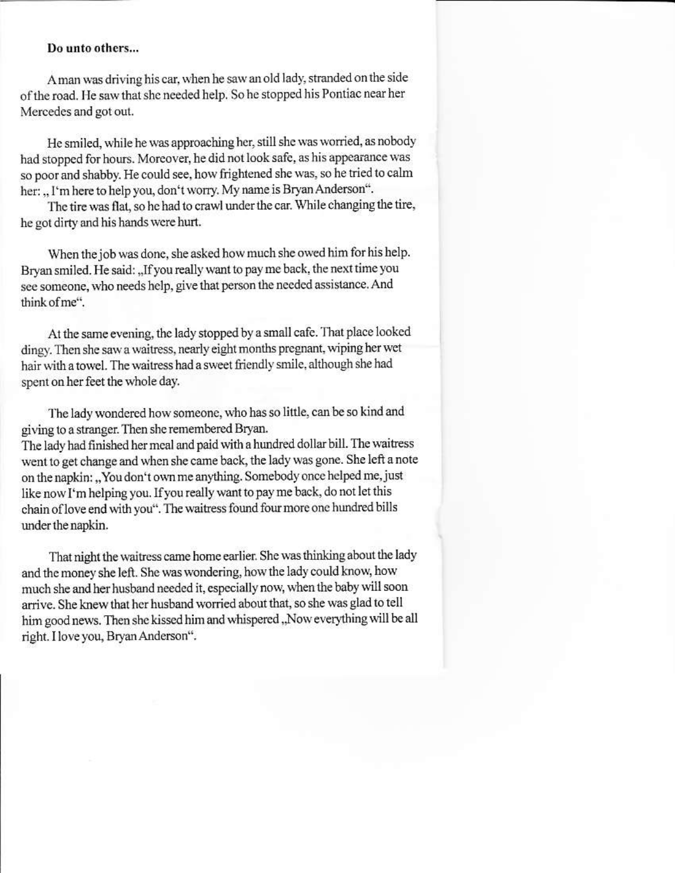### Do unto others...

A man was driving his car, when he saw an old lady, stranded on the side of the road. He saw that she needed help. So he stopped his Pontiac near her Mercedes and got out.

He smiled, while he was approaching her, still she was worried, as nobody had stopped for hours. Moreover, he did not look safe, as his appearance was so poor and shabby. He could see, how frightened she was, so he tried to calm her: "I'm here to help you, don't worry. My name is Bryan Anderson".

The tire was flat, so he had to crawl under the car. While changing the tire, he got dirty and his hands were hurt.

When the job was done, she asked how much she owed him for his help. Bryan smiled. He said: "If you really want to pay me back, the next time you see someone, who needs help, give that person the needed assistance. And think of me".

At the same evening, the lady stopped by a small cafe. That place looked dingy. Then she saw a waitress, nearly eight months pregnant, wiping her wet hair with a towel. The waitress had a sweet friendly smile, although she had spent on her feet the whole day.

The lady wondered how someone, who has so little, can be so kind and giving to a stranger. Then she remembered Bryan. The lady had finished her meal and paid with a hundred dollar bill. The waitress went to get change and when she came back, the lady was gone. She left a note on the napkin: "You don't own me anything. Somebody once helped me, just like now I'm helping you. If you really want to pay me back, do not let this chain of love end with you". The waitress found four more one hundred bills under the napkin.

That night the waitress came home earlier. She was thinking about the lady and the money she left. She was wondering, how the lady could know, how much she and her husband needed it, especially now, when the baby will soon arrive. She knew that her husband worried about that, so she was glad to tell him good news. Then she kissed him and whispered "Now everything will be all right. I love you, Bryan Anderson".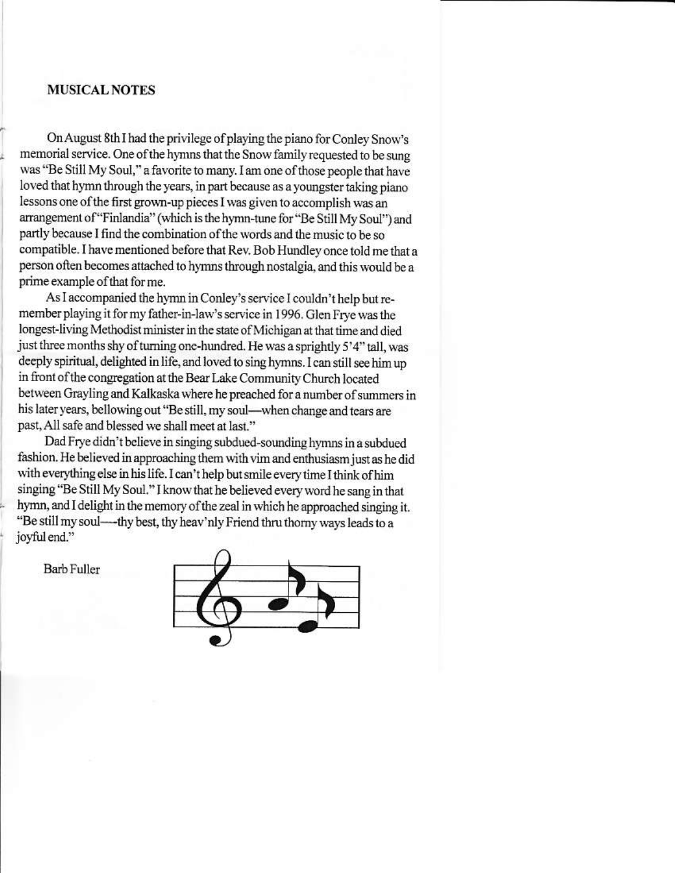### **MUSICAL NOTES**

On August 8th I had the privilege of playing the piano for Conley Snow's memorial service. One of the hymns that the Snow family requested to be sung was "Be Still My Soul," a favorite to many. I am one of those people that have loved that hymn through the years, in part because as a youngster taking piano lessons one of the first grown-up pieces I was given to accomplish was an arrangement of "Finlandia" (which is the hymn-tune for "Be Still My Soul") and partly because I find the combination of the words and the music to be so compatible. I have mentioned before that Rev. Bob Hundley once told me that a person often becomes attached to hymns through nostalgia, and this would be a prime example of that for me.

As I accompanied the hymn in Conley's service I couldn't help but remember playing it for my father-in-law's service in 1996. Glen Frye was the longest-living Methodist minister in the state of Michigan at that time and died just three months shy of turning one-hundred. He was a sprightly 5'4" tall, was deeply spiritual, delighted in life, and loved to sing hymns. I can still see him up in front of the congregation at the Bear Lake Community Church located between Grayling and Kalkaska where he preached for a number of summers in his later years, bellowing out "Be still, my soul-when change and tears are past, All safe and blessed we shall meet at last."

Dad Frye didn't believe in singing subdued-sounding hymns in a subdued fashion. He believed in approaching them with vim and enthusiasm just as he did with everything else in his life. I can't help but smile every time I think of him singing "Be Still My Soul." I know that he believed every word he sang in that hymn, and I delight in the memory of the zeal in which he approached singing it. "Be still my soul---- thy best, thy heav'nly Friend thru thorny ways leads to a joyful end."



**Barb Fuller**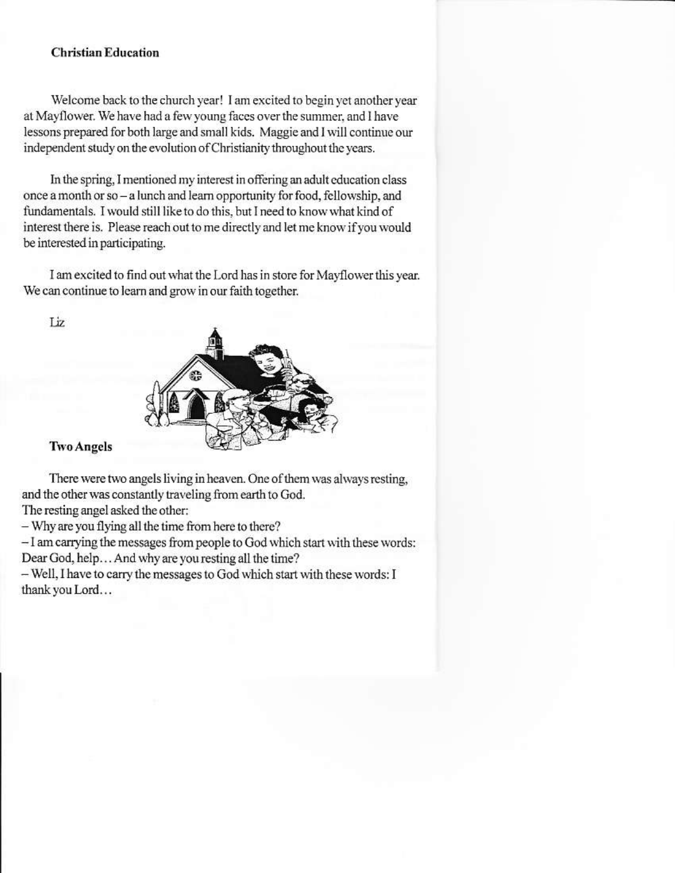### **Christian Education**

Welcome back to the church year! I am excited to begin yet another year at Mayflower. We have had a few young faces over the summer, and I have lessons prepared for both large and small kids. Maggie and I will continue our independent study on the evolution of Christianity throughout the years.

In the spring, I mentioned my interest in offering an adult education class once a month or so - a lunch and learn opportunity for food, fellowship, and fundamentals. I would still like to do this, but I need to know what kind of interest there is. Please reach out to me directly and let me know if you would be interested in participating.

I am excited to find out what the Lord has in store for Mayflower this year. We can continue to learn and grow in our faith together.

Liz.



### **Two Angels**

There were two angels living in heaven. One of them was always resting, and the other was constantly traveling from earth to God.

The resting angel asked the other:

- Why are you flying all the time from here to there?

- I am carrying the messages from people to God which start with these words: Dear God, help... And why are you resting all the time?

- Well, I have to carry the messages to God which start with these words: I thank you Lord...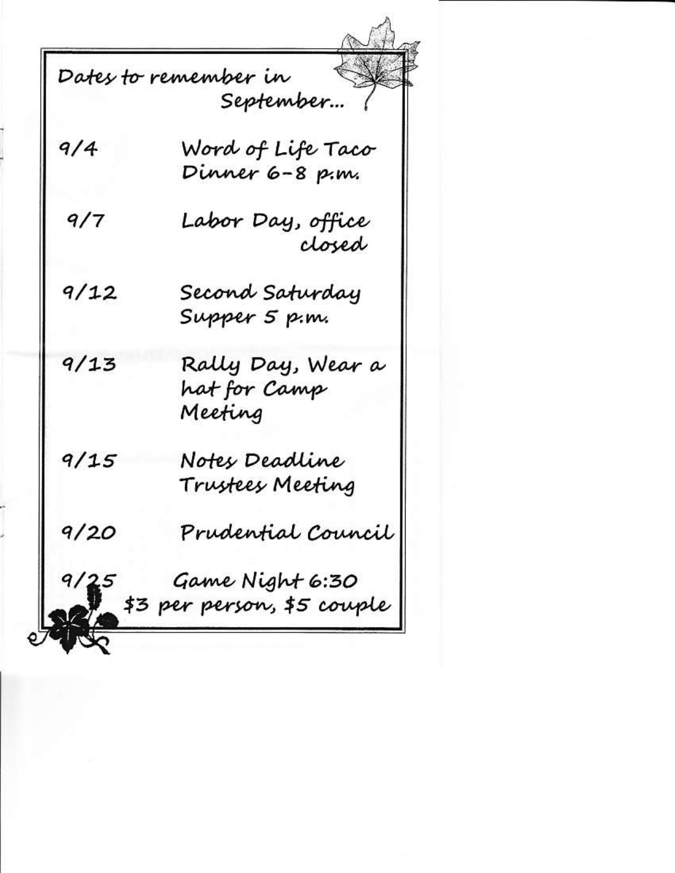Dates to remember in September…  $9/4$ Word of Life Taco Dinner 6–8 p.m.  $9/7$ Labor Day, office closed  $9/12$ Second Saturday Supper 5 p.m. Rally Day, Wear a  $9/13$ hat for Camp Meeting  $9/15$ Notes Deadline Trustees Meeting  $9/20$ Prudential Council  $9/25$ Game Night 6:30 \$3 per person, \$5 couple